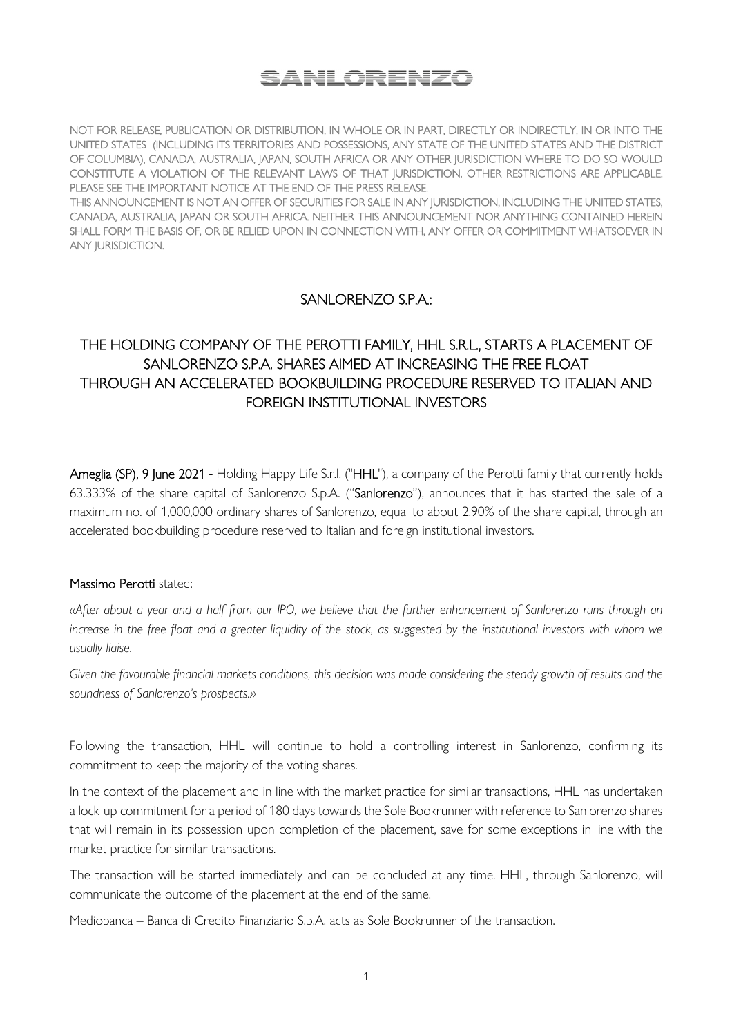# SANLORENZO

NOT FOR RELEASE, PUBLICATION OR DISTRIBUTION, IN WHOLE OR IN PART, DIRECTLY OR INDIRECTLY, IN OR INTO THE UNITED STATES (INCLUDING ITS TERRITORIES AND POSSESSIONS, ANY STATE OF THE UNITED STATES AND THE DISTRICT OF COLUMBIA), CANADA, AUSTRALIA, JAPAN, SOUTH AFRICA OR ANY OTHER JURISDICTION WHERE TO DO SO WOULD CONSTITUTE A VIOLATION OF THE RELEVANT LAWS OF THAT JURISDICTION. OTHER RESTRICTIONS ARE APPLICABLE. PLEASE SEE THE IMPORTANT NOTICE AT THE END OF THE PRESS RELEASE.

THIS ANNOUNCEMENT IS NOT AN OFFER OF SECURITIES FOR SALE IN ANY JURISDICTION, INCLUDING THE UNITED STATES, CANADA, AUSTRALIA, JAPAN OR SOUTH AFRICA. NEITHER THIS ANNOUNCEMENT NOR ANYTHING CONTAINED HEREIN SHALL FORM THE BASIS OF, OR BE RELIED UPON IN CONNECTION WITH, ANY OFFER OR COMMITMENT WHATSOEVER IN ANY JURISDICTION.

# SANLORENZO S.P.A.:

# THE HOLDING COMPANY OF THE PEROTTI FAMILY, HHL S.R.L., STARTS A PLACEMENT OF SANLORENZO S.P.A. SHARES AIMED AT INCREASING THE FREE FLOAT THROUGH AN ACCELERATED BOOKBUILDING PROCEDURE RESERVED TO ITALIAN AND FOREIGN INSTITUTIONAL INVESTORS

Ameglia (SP), 9 June 2021 - Holding Happy Life S.r.l. ("HHL"), a company of the Perotti family that currently holds 63.333% of the share capital of Sanlorenzo S.p.A. ("Sanlorenzo"), announces that it has started the sale of a maximum no. of 1,000,000 ordinary shares of Sanlorenzo, equal to about 2.90% of the share capital, through an accelerated bookbuilding procedure reserved to Italian and foreign institutional investors.

## Massimo Perotti stated:

*«After about a year and a half from our IPO, we believe that the further enhancement of Sanlorenzo runs through an*  increase in the free float and a greater liquidity of the stock, as suggested by the institutional investors with whom we *usually liaise.* 

*Given the favourable financial markets conditions, this decision was made considering the steady growth of results and the soundness of Sanlorenzo's prospects.»* 

Following the transaction, HHL will continue to hold a controlling interest in Sanlorenzo, confirming its commitment to keep the majority of the voting shares.

In the context of the placement and in line with the market practice for similar transactions, HHL has undertaken a lock-up commitment for a period of 180 days towards the Sole Bookrunner with reference to Sanlorenzo shares that will remain in its possession upon completion of the placement, save for some exceptions in line with the market practice for similar transactions.

The transaction will be started immediately and can be concluded at any time. HHL, through Sanlorenzo, will communicate the outcome of the placement at the end of the same.

Mediobanca – Banca di Credito Finanziario S.p.A. acts as Sole Bookrunner of the transaction.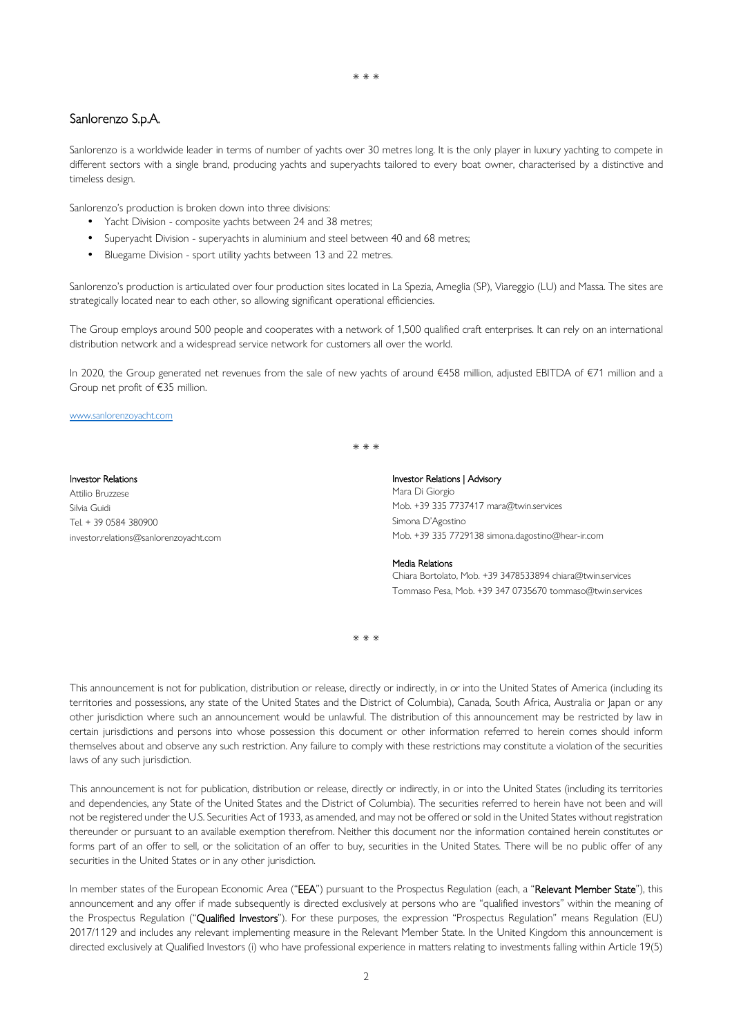## Sanlorenzo S.p.A.

Sanlorenzo is a worldwide leader in terms of number of yachts over 30 metres long. It is the only player in luxury yachting to compete in different sectors with a single brand, producing yachts and superyachts tailored to every boat owner, characterised by a distinctive and timeless design.

Sanlorenzo's production is broken down into three divisions:

- Yacht Division composite yachts between 24 and 38 metres;
- Superyacht Division superyachts in aluminium and steel between 40 and 68 metres;
- Bluegame Division sport utility yachts between 13 and 22 metres.

Sanlorenzo's production is articulated over four production sites located in La Spezia, Ameglia (SP), Viareggio (LU) and Massa. The sites are strategically located near to each other, so allowing significant operational efficiencies.

The Group employs around 500 people and cooperates with a network of 1,500 qualified craft enterprises. It can rely on an international distribution network and a widespread service network for customers all over the world.

In 2020, the Group generated net revenues from the sale of new yachts of around €458 million, adjusted EBITDA of €71 million and a Group net profit of €35 million.

#### www.sanlorenzoyacht.com

\* \* \*

### Investor Relations Attilio Bruzzese Silvia Guidi Tel. + 39 0584 380900 investor.relations@sanlorenzoyacht.com

#### Investor Relations | Advisory

Mara Di Giorgio Mob. +39 335 7737417 mara@twin.services Simona D'Agostino Mob. +39 335 7729138 simona.dagostino@hear-ir.com

#### Media Relations

Chiara Bortolato, Mob. +39 3478533894 chiara@twin.services Tommaso Pesa, Mob. +39 347 0735670 tommaso@twin.services

\* \* \*

This announcement is not for publication, distribution or release, directly or indirectly, in or into the United States of America (including its territories and possessions, any state of the United States and the District of Columbia), Canada, South Africa, Australia or Japan or any other jurisdiction where such an announcement would be unlawful. The distribution of this announcement may be restricted by law in certain jurisdictions and persons into whose possession this document or other information referred to herein comes should inform themselves about and observe any such restriction. Any failure to comply with these restrictions may constitute a violation of the securities laws of any such jurisdiction.

This announcement is not for publication, distribution or release, directly or indirectly, in or into the United States (including its territories and dependencies, any State of the United States and the District of Columbia). The securities referred to herein have not been and will not be registered under the U.S. Securities Act of 1933, as amended, and may not be offered or sold in the United States without registration thereunder or pursuant to an available exemption therefrom. Neither this document nor the information contained herein constitutes or forms part of an offer to sell, or the solicitation of an offer to buy, securities in the United States. There will be no public offer of any securities in the United States or in any other jurisdiction.

In member states of the European Economic Area ("EEA") pursuant to the Prospectus Regulation (each, a "Relevant Member State"), this announcement and any offer if made subsequently is directed exclusively at persons who are "qualified investors" within the meaning of the Prospectus Regulation ("Qualified Investors"). For these purposes, the expression "Prospectus Regulation" means Regulation (EU) 2017/1129 and includes any relevant implementing measure in the Relevant Member State. In the United Kingdom this announcement is directed exclusively at Qualified Investors (i) who have professional experience in matters relating to investments falling within Article 19(5)